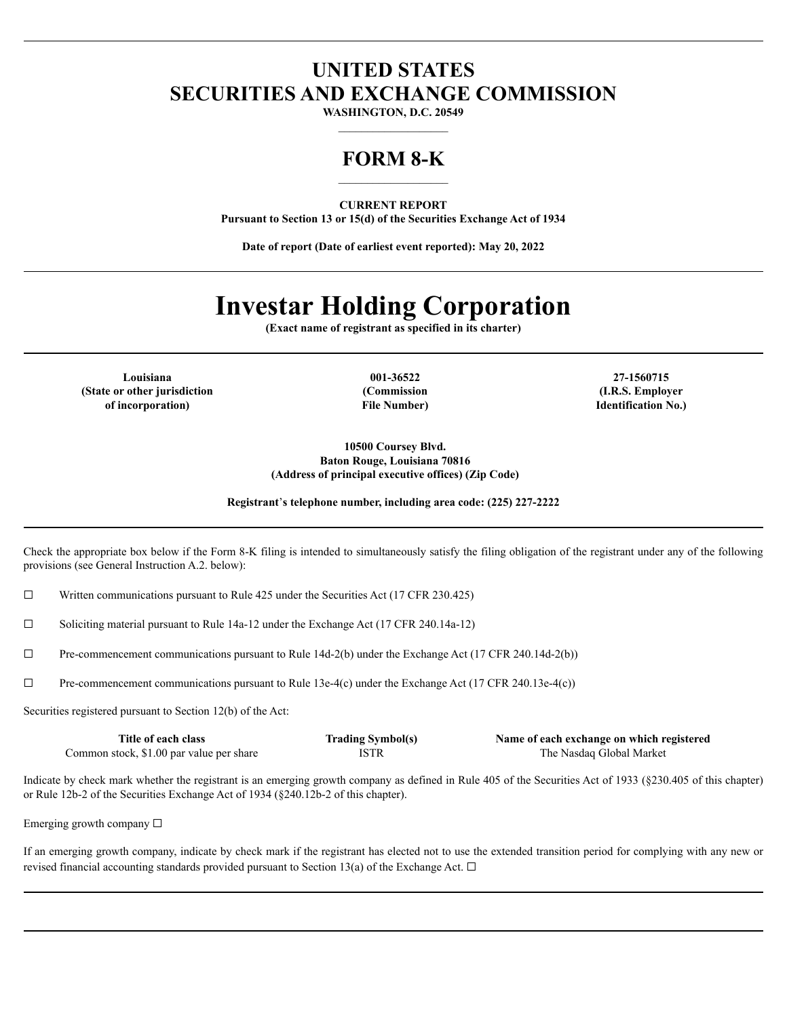## **UNITED STATES SECURITIES AND EXCHANGE COMMISSION**

**WASHINGTON, D.C. 20549**

## **FORM 8-K**

**CURRENT REPORT Pursuant to Section 13 or 15(d) of the Securities Exchange Act of 1934**

**Date of report (Date of earliest event reported): May 20, 2022**

# **Investar Holding Corporation**

**(Exact name of registrant as specified in its charter)**

**Louisiana 001-36522 27-1560715 (State or other jurisdiction of incorporation)**

**(Commission File Number)**

**(I.R.S. Employer Identification No.)**

**10500 Coursey Blvd. Baton Rouge, Louisiana 70816 (Address of principal executive offices) (Zip Code)**

**Registrant**'**s telephone number, including area code: (225) 227-2222**

Check the appropriate box below if the Form 8-K filing is intended to simultaneously satisfy the filing obligation of the registrant under any of the following provisions (see General Instruction A.2. below):

 $\Box$  Written communications pursuant to Rule 425 under the Securities Act (17 CFR 230.425)

☐ Soliciting material pursuant to Rule 14a-12 under the Exchange Act (17 CFR 240.14a-12)

☐ Pre-commencement communications pursuant to Rule 14d-2(b) under the Exchange Act (17 CFR 240.14d-2(b))

☐ Pre-commencement communications pursuant to Rule 13e-4(c) under the Exchange Act (17 CFR 240.13e-4(c))

Securities registered pursuant to Section 12(b) of the Act:

| Title of each class                      | <b>Trading Symbol(s)</b> | Name of each exchange on which registered |
|------------------------------------------|--------------------------|-------------------------------------------|
| Common stock, \$1.00 par value per share | <b>ISTR</b>              | The Nasdaq Global Market                  |

Indicate by check mark whether the registrant is an emerging growth company as defined in Rule 405 of the Securities Act of 1933 (§230.405 of this chapter) or Rule 12b-2 of the Securities Exchange Act of 1934 (§240.12b-2 of this chapter).

Emerging growth company  $\Box$ 

If an emerging growth company, indicate by check mark if the registrant has elected not to use the extended transition period for complying with any new or revised financial accounting standards provided pursuant to Section 13(a) of the Exchange Act.  $\Box$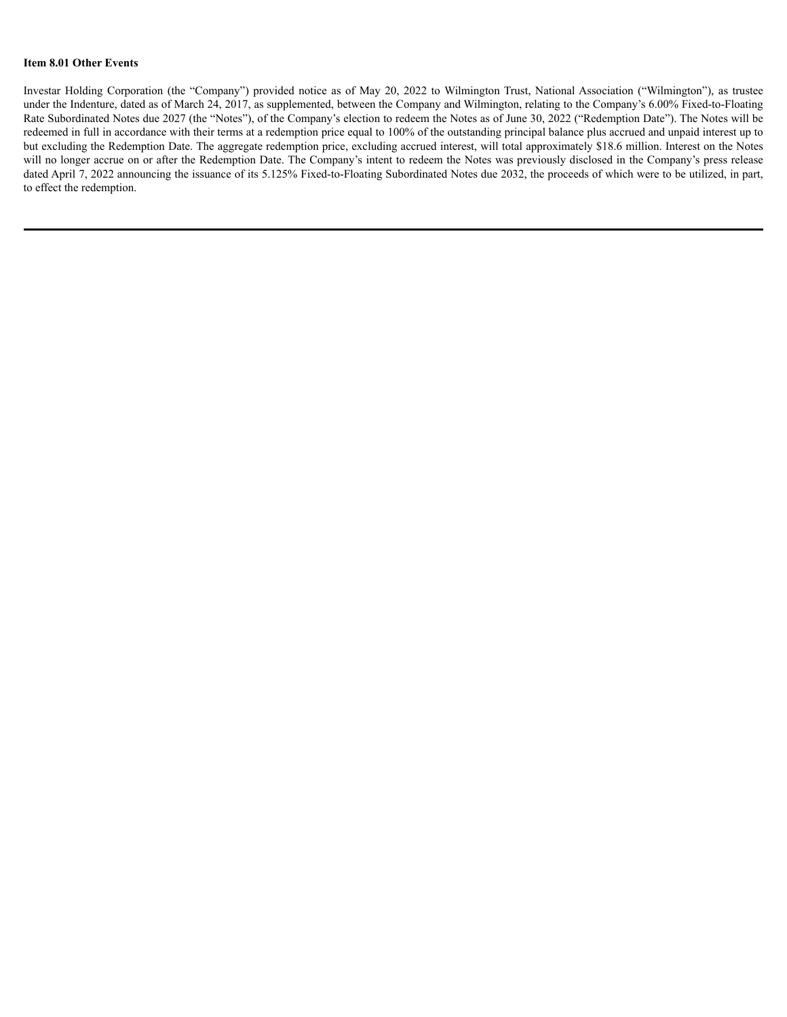#### **Item 8.01 Other Events**

Investar Holding Corporation (the "Company") provided notice as of May 20, 2022 to Wilmington Trust, National Association ("Wilmington"), as trustee under the Indenture, dated as of March 24, 2017, as supplemented, between the Company and Wilmington, relating to the Company's 6.00% Fixed-to-Floating Rate Subordinated Notes due 2027 (the "Notes"), of the Company's election to redeem the Notes as of June 30, 2022 ("Redemption Date"). The Notes will be redeemed in full in accordance with their terms at a redemption price equal to 100% of the outstanding principal balance plus accrued and unpaid interest up to but excluding the Redemption Date. The aggregate redemption price, excluding accrued interest, will total approximately \$18.6 million. Interest on the Notes will no longer accrue on or after the Redemption Date. The Company's intent to redeem the Notes was previously disclosed in the Company's press release dated April 7, 2022 announcing the issuance of its 5.125% Fixed-to-Floating Subordinated Notes due 2032, the proceeds of which were to be utilized, in part, to effect the redemption.